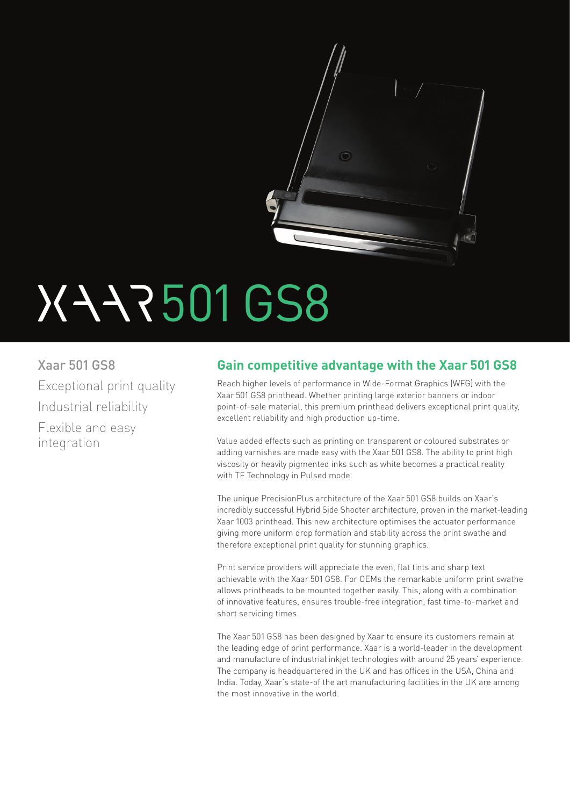

# 501 GS8

Xaar 501 GS8 Exceptional print quality Industrial reliability Flexible and easy integration

# **Gain competitive advantage with the Xaar 501 GS8**

Reach higher levels of performance in Wide-Format Graphics (WFG) with the Xaar 501 GS8 printhead. Whether printing large exterior banners or indoor point-of-sale material, this premium printhead delivers exceptional print quality, excellent reliability and high production up-time.

Value added effects such as printing on transparent or coloured substrates or adding varnishes are made easy with the Xaar 501 GS8. The ability to print high viscosity or heavily pigmented inks such as white becomes a practical reality with TF Technology in Pulsed mode.

The unique PrecisionPlus architecture of the Xaar 501 GS8 builds on Xaar's incredibly successful Hybrid Side Shooter architecture, proven in the market-leading Xaar 1003 printhead. This new architecture optimises the actuator performance giving more uniform drop formation and stability across the print swathe and therefore exceptional print quality for stunning graphics.

Print service providers will appreciate the even, flat tints and sharp text achievable with the Xaar 501 GS8. For OEMs the remarkable uniform print swathe allows printheads to be mounted together easily. This, along with a combination of innovative features, ensures trouble-free integration, fast time-to-market and short servicing times.

The Xaar 501 GS8 has been designed by Xaar to ensure its customers remain at the leading edge of print performance. Xaar is a world-leader in the development and manufacture of industrial inkjet technologies with around 25 years' experience. The company is headquartered in the UK and has offices in the USA, China and India. Today, Xaar's state-of the art manufacturing facilities in the UK are among the most innovative in the world.